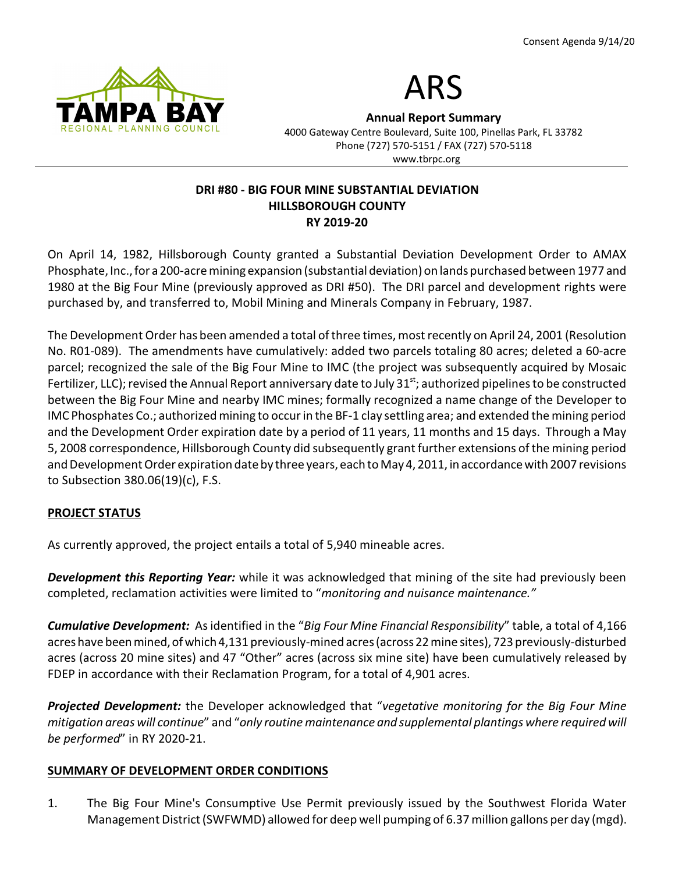



**Annual Report Summary**

4000 Gateway Centre Boulevard, Suite 100, Pinellas Park, FL 33782 Phone (727) 570-5151 / FAX (727) 570-5118 www.tbrpc.org

## **DRI #80 - BIG FOUR MINE SUBSTANTIAL DEVIATION HILLSBOROUGH COUNTY RY 2019-20**

On April 14, 1982, Hillsborough County granted a Substantial Deviation Development Order to AMAX Phosphate, Inc., for a 200-acre mining expansion (substantial deviation) on lands purchased between 1977 and 1980 at the Big Four Mine (previously approved as DRI #50). The DRI parcel and development rights were purchased by, and transferred to, Mobil Mining and Minerals Company in February, 1987.

The Development Order has been amended a total of three times, most recently on April 24, 2001 (Resolution No. R01-089). The amendments have cumulatively: added two parcels totaling 80 acres; deleted a 60-acre parcel; recognized the sale of the Big Four Mine to IMC (the project was subsequently acquired by Mosaic Fertilizer, LLC); revised the Annual Report anniversary date to July 31 $^{st}$ ; authorized pipelines to be constructed between the Big Four Mine and nearby IMC mines; formally recognized a name change of the Developer to IMC Phosphates Co.; authorized mining to occur in the BF-1 clay settling area; and extended the mining period and the Development Order expiration date by a period of 11 years, 11 months and 15 days. Through a May 5, 2008 correspondence, Hillsborough County did subsequently grant further extensions of the mining period and Development Order expiration date by three years, each to May 4, 2011, in accordance with 2007 revisions to Subsection 380.06(19)(c), F.S.

# **PROJECT STATUS**

As currently approved, the project entails a total of 5,940 mineable acres.

*Development this Reporting Year:* while it was acknowledged that mining of the site had previously been completed, reclamation activities were limited to "*monitoring and nuisance maintenance."*

*Cumulative Development:* As identified in the "*Big Four Mine Financial Responsibility*" table, a total of 4,166 acres have been mined, of which 4,131 previously-mined acres (across 22 mine sites), 723 previously-disturbed acres (across 20 mine sites) and 47 "Other" acres (across six mine site) have been cumulatively released by FDEP in accordance with their Reclamation Program, for a total of 4,901 acres.

*Projected Development:* the Developer acknowledged that "*vegetative monitoring for the Big Four Mine mitigation areas will continue*" and "*only routine maintenance and supplemental plantings where required will be performed*" in RY 2020-21.

#### **SUMMARY OF DEVELOPMENT ORDER CONDITIONS**

1. The Big Four Mine's Consumptive Use Permit previously issued by the Southwest Florida Water Management District(SWFWMD) allowed for deep well pumping of 6.37 million gallons per day (mgd).